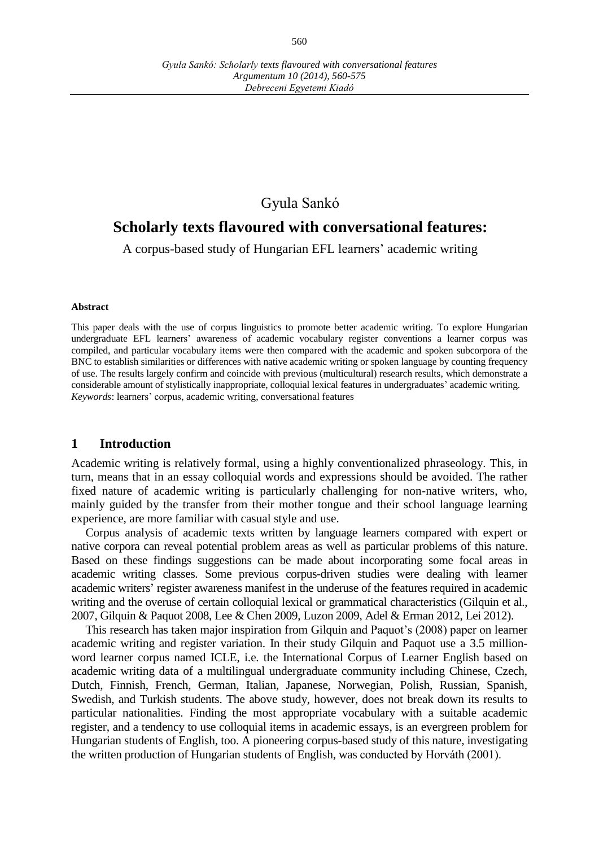## Gyula Sankó

# **Scholarly texts flavoured with conversational features:**

A corpus-based study of Hungarian EFL learners' academic writing

#### **Abstract**

This paper deals with the use of corpus linguistics to promote better academic writing. To explore Hungarian undergraduate EFL learners' awareness of academic vocabulary register conventions a learner corpus was compiled, and particular vocabulary items were then compared with the academic and spoken subcorpora of the BNC to establish similarities or differences with native academic writing or spoken language by counting frequency of use. The results largely confirm and coincide with previous (multicultural) research results, which demonstrate a considerable amount of stylistically inappropriate, colloquial lexical features in undergraduates' academic writing. *Keywords*: learners' corpus, academic writing, conversational features

#### **1 Introduction**

Academic writing is relatively formal, using a highly conventionalized phraseology. This, in turn, means that in an essay colloquial words and expressions should be avoided. The rather fixed nature of academic writing is particularly challenging for non-native writers, who, mainly guided by the transfer from their mother tongue and their school language learning experience, are more familiar with casual style and use.

Corpus analysis of academic texts written by language learners compared with expert or native corpora can reveal potential problem areas as well as particular problems of this nature. Based on these findings suggestions can be made about incorporating some focal areas in academic writing classes. Some previous corpus-driven studies were dealing with learner academic writers' register awareness manifest in the underuse of the features required in academic writing and the overuse of certain colloquial lexical or grammatical characteristics (Gilquin et al., 2007, Gilquin & Paquot 2008, Lee & Chen 2009, Luzon 2009, Adel & Erman 2012, Lei 2012).

This research has taken major inspiration from Gilquin and Paquot's (2008) paper on learner academic writing and register variation. In their study Gilquin and Paquot use a 3.5 millionword learner corpus named ICLE, i.e. the International Corpus of Learner English based on academic writing data of a multilingual undergraduate community including Chinese, Czech, Dutch, Finnish, French, German, Italian, Japanese, Norwegian, Polish, Russian, Spanish, Swedish, and Turkish students. The above study, however, does not break down its results to particular nationalities. Finding the most appropriate vocabulary with a suitable academic register, and a tendency to use colloquial items in academic essays, is an evergreen problem for Hungarian students of English, too. A pioneering corpus-based study of this nature, investigating the written production of Hungarian students of English, was conducted by Horváth (2001).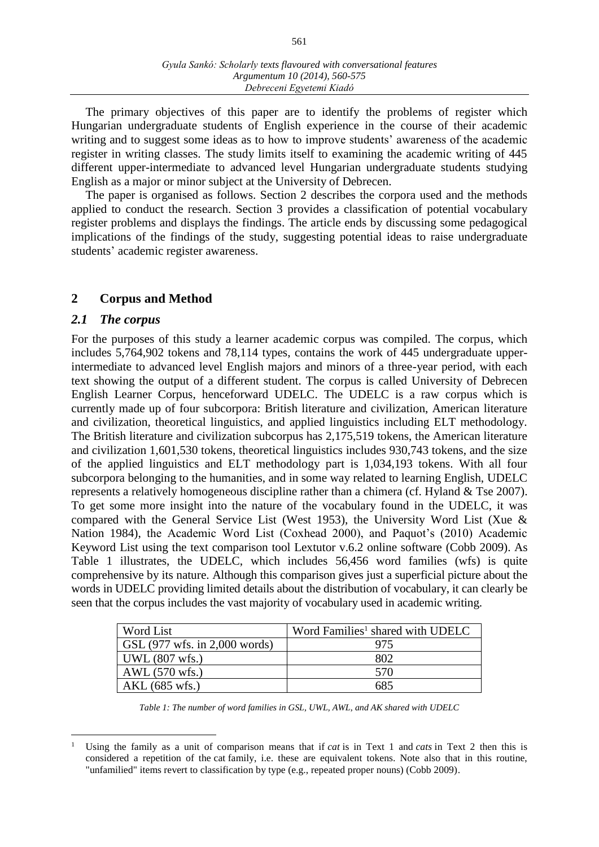The primary objectives of this paper are to identify the problems of register which Hungarian undergraduate students of English experience in the course of their academic writing and to suggest some ideas as to how to improve students' awareness of the academic register in writing classes. The study limits itself to examining the academic writing of 445 different upper-intermediate to advanced level Hungarian undergraduate students studying English as a major or minor subject at the University of Debrecen.

The paper is organised as follows. Section 2 describes the corpora used and the methods applied to conduct the research. Section 3 provides a classification of potential vocabulary register problems and displays the findings. The article ends by discussing some pedagogical implications of the findings of the study, suggesting potential ideas to raise undergraduate students' academic register awareness.

### **2 Corpus and Method**

### *2.1 The corpus*

For the purposes of this study a learner academic corpus was compiled. The corpus, which includes 5,764,902 tokens and 78,114 types, contains the work of 445 undergraduate upperintermediate to advanced level English majors and minors of a three-year period, with each text showing the output of a different student. The corpus is called University of Debrecen English Learner Corpus, henceforward UDELC. The UDELC is a raw corpus which is currently made up of four subcorpora: British literature and civilization, American literature and civilization, theoretical linguistics, and applied linguistics including ELT methodology. The British literature and civilization subcorpus has 2,175,519 tokens, the American literature and civilization 1,601,530 tokens, theoretical linguistics includes 930,743 tokens, and the size of the applied linguistics and ELT methodology part is 1,034,193 tokens. With all four subcorpora belonging to the humanities, and in some way related to learning English, UDELC represents a relatively homogeneous discipline rather than a chimera (cf. Hyland & Tse 2007). To get some more insight into the nature of the vocabulary found in the UDELC, it was compared with the General Service List (West 1953), the University Word List (Xue & Nation 1984), the Academic Word List (Coxhead 2000), and Paquot's (2010) Academic Keyword List using the text comparison tool Lextutor v.6.2 online software (Cobb 2009). As Table 1 illustrates, the UDELC, which includes 56,456 word families (wfs) is quite comprehensive by its nature. Although this comparison gives just a superficial picture about the words in UDELC providing limited details about the distribution of vocabulary, it can clearly be seen that the corpus includes the vast majority of vocabulary used in academic writing.

| Word List                     | Word Families <sup>1</sup> shared with UDELC |
|-------------------------------|----------------------------------------------|
| GSL (977 wfs. in 2,000 words) | 975                                          |
| UWL(807 wfs.)                 | 802                                          |
| AWL (570 wfs.)                | 570                                          |
| AKL (685 wfs.)                | 685                                          |

*Table 1: The number of word families in GSL, UWL, AWL, and AK shared with UDELC*

 $\overline{a}$ <sup>1</sup> Using the family as a unit of comparison means that if *cat* is in Text 1 and *cats* in Text 2 then this is considered a repetition of the cat family, i.e. these are equivalent tokens. Note also that in this routine, "unfamilied" items revert to classification by type (e.g., repeated proper nouns) (Cobb 2009).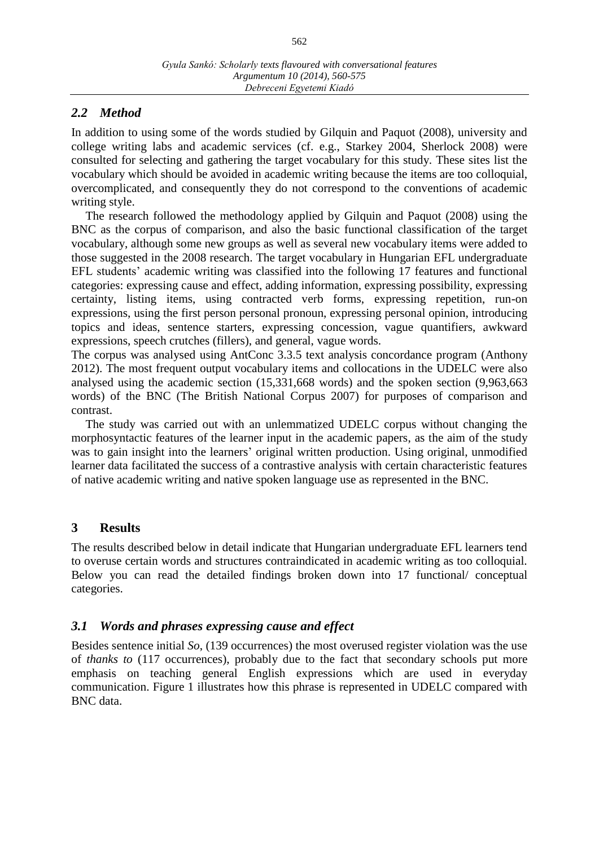## *2.2 Method*

In addition to using some of the words studied by Gilquin and Paquot (2008), university and college writing labs and academic services (cf. e.g., Starkey 2004, Sherlock 2008) were consulted for selecting and gathering the target vocabulary for this study. These sites list the vocabulary which should be avoided in academic writing because the items are too colloquial, overcomplicated, and consequently they do not correspond to the conventions of academic writing style.

The research followed the methodology applied by Gilquin and Paquot (2008) using the BNC as the corpus of comparison, and also the basic functional classification of the target vocabulary, although some new groups as well as several new vocabulary items were added to those suggested in the 2008 research. The target vocabulary in Hungarian EFL undergraduate EFL students' academic writing was classified into the following 17 features and functional categories: expressing cause and effect, adding information, expressing possibility, expressing certainty, listing items, using contracted verb forms, expressing repetition, run-on expressions, using the first person personal pronoun, expressing personal opinion, introducing topics and ideas, sentence starters, expressing concession, vague quantifiers, awkward expressions, speech crutches (fillers), and general, vague words.

The corpus was analysed using AntConc 3.3.5 text analysis concordance program (Anthony 2012). The most frequent output vocabulary items and collocations in the UDELC were also analysed using the academic section (15,331,668 words) and the spoken section (9,963,663 words) of the BNC (The British National Corpus 2007) for purposes of comparison and contrast.

The study was carried out with an unlemmatized UDELC corpus without changing the morphosyntactic features of the learner input in the academic papers, as the aim of the study was to gain insight into the learners' original written production. Using original, unmodified learner data facilitated the success of a contrastive analysis with certain characteristic features of native academic writing and native spoken language use as represented in the BNC.

## **3 Results**

The results described below in detail indicate that Hungarian undergraduate EFL learners tend to overuse certain words and structures contraindicated in academic writing as too colloquial. Below you can read the detailed findings broken down into 17 functional/ conceptual categories.

## *3.1 Words and phrases expressing cause and effect*

Besides sentence initial *So*, (139 occurrences) the most overused register violation was the use of *thanks to* (117 occurrences), probably due to the fact that secondary schools put more emphasis on teaching general English expressions which are used in everyday communication. Figure 1 illustrates how this phrase is represented in UDELC compared with BNC data.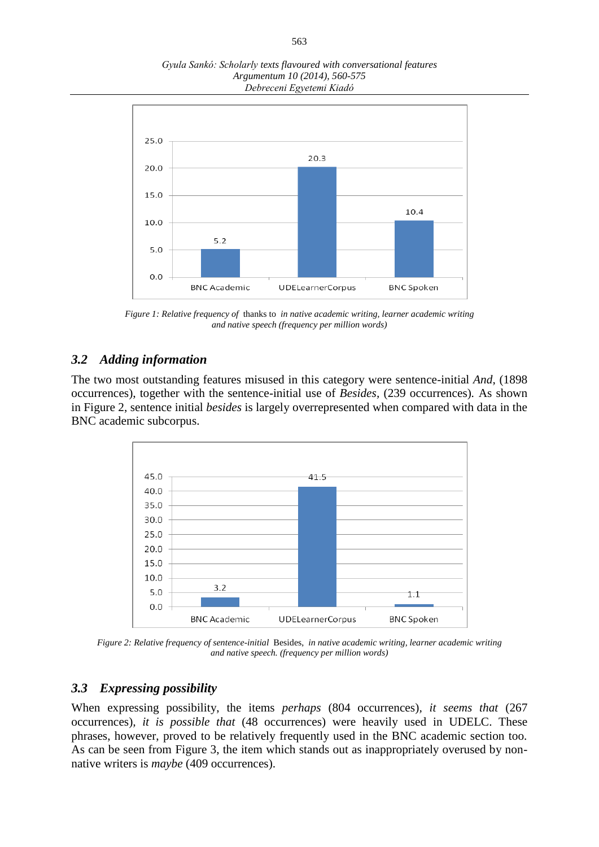*Gyula Sankó: Scholarly texts flavoured with conversational features Argumentum 10 (2014), 560-575 Debreceni Egyetemi Kiadó*



*Figure 1: Relative frequency of* thanks to *in native academic writing, learner academic writing and native speech (frequency per million words)*

## *3.2 Adding information*

The two most outstanding features misused in this category were sentence-initial *And*, (1898 occurrences), together with the sentence-initial use of *Besides,* (239 occurrences)*.* As shown in Figure 2, sentence initial *besides* is largely overrepresented when compared with data in the BNC academic subcorpus.



*Figure 2: Relative frequency of sentence-initial* Besides, *in native academic writing, learner academic writing and native speech. (frequency per million words)*

#### *3.3 Expressing possibility*

When expressing possibility, the items *perhaps* (804 occurrences)*, it seems that* (267 occurrences)*, it is possible that* (48 occurrences) were heavily used in UDELC. These phrases, however, proved to be relatively frequently used in the BNC academic section too. As can be seen from Figure 3, the item which stands out as inappropriately overused by nonnative writers is *maybe* (409 occurrences).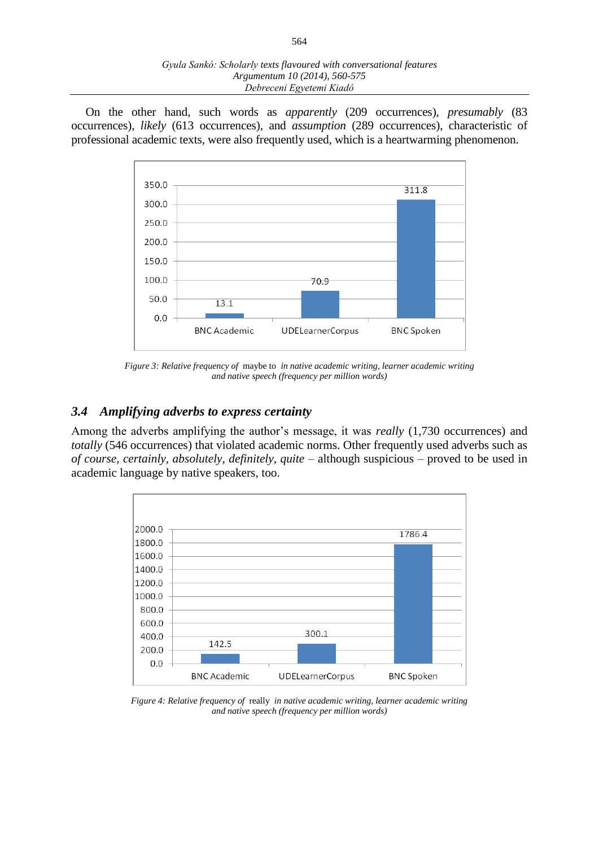On the other hand, such words as *apparently* (209 occurrences)*, presumably* (83 occurrences)*, likely* (613 occurrences)*,* and *assumption* (289 occurrences), characteristic of professional academic texts, were also frequently used, which is a heartwarming phenomenon.



*Figure 3: Relative frequency of* maybe to *in native academic writing, learner academic writing and native speech (frequency per million words)*

## *3.4 Amplifying adverbs to express certainty*

Among the adverbs amplifying the author's message, it was *really* (1,730 occurrences) and *totally* (546 occurrences) that violated academic norms. Other frequently used adverbs such as *of course, certainly, absolutely, definitely, quite –* although suspicious *–* proved to be used in academic language by native speakers, too.



*Figure 4: Relative frequency of* really *in native academic writing, learner academic writing and native speech (frequency per million words)*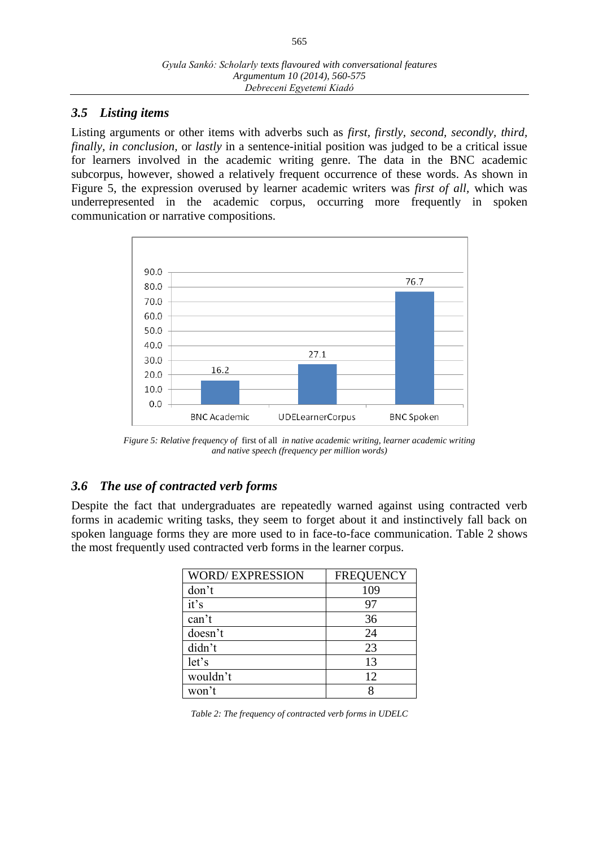#### *3.5 Listing items*

Listing arguments or other items with adverbs such as *first, firstly, second, secondly, third, finally, in conclusion,* or *lastly* in a sentence-initial position was judged to be a critical issue for learners involved in the academic writing genre. The data in the BNC academic subcorpus, however, showed a relatively frequent occurrence of these words. As shown in Figure 5, the expression overused by learner academic writers was *first of all,* which was underrepresented in the academic corpus, occurring more frequently in spoken communication or narrative compositions.



*Figure 5: Relative frequency of* first of all *in native academic writing, learner academic writing and native speech (frequency per million words)*

# *3.6 The use of contracted verb forms*

Despite the fact that undergraduates are repeatedly warned against using contracted verb forms in academic writing tasks, they seem to forget about it and instinctively fall back on spoken language forms they are more used to in face-to-face communication. Table 2 shows the most frequently used contracted verb forms in the learner corpus.

| <b>WORD/EXPRESSION</b> | <b>FREQUENCY</b> |
|------------------------|------------------|
| don't                  | 109              |
| it's                   | 97               |
| can't                  | 36               |
| doesn't                | 24               |
| didn't                 | 23               |
| let's                  | 13               |
| wouldn't               | 12               |
| won't                  |                  |

*Table 2: The frequency of contracted verb forms in UDELC*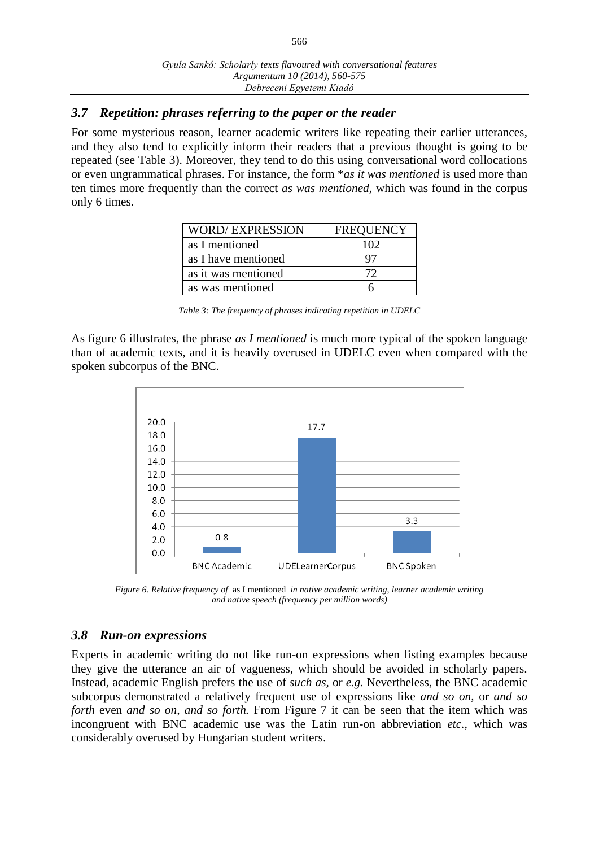## *3.7 Repetition: phrases referring to the paper or the reader*

For some mysterious reason, learner academic writers like repeating their earlier utterances, and they also tend to explicitly inform their readers that a previous thought is going to be repeated (see Table 3). Moreover, they tend to do this using conversational word collocations or even ungrammatical phrases. For instance, the form \**as it was mentioned* is used more than ten times more frequently than the correct *as was mentioned,* which was found in the corpus only 6 times.

| <b>WORD/EXPRESSION</b> | <b>FREQUENCY</b> |
|------------------------|------------------|
| as I mentioned         | 102              |
| as I have mentioned    |                  |
| as it was mentioned    | 72               |
| as was mentioned       |                  |

*Table 3: The frequency of phrases indicating repetition in UDELC*

As figure 6 illustrates, the phrase *as I mentioned* is much more typical of the spoken language than of academic texts, and it is heavily overused in UDELC even when compared with the spoken subcorpus of the BNC.



*Figure 6. Relative frequency of* as I mentioned *in native academic writing, learner academic writing and native speech (frequency per million words)*

## *3.8 Run-on expressions*

Experts in academic writing do not like run-on expressions when listing examples because they give the utterance an air of vagueness, which should be avoided in scholarly papers. Instead, academic English prefers the use of *such as,* or *e.g.* Nevertheless, the BNC academic subcorpus demonstrated a relatively frequent use of expressions like *and so on,* or *and so forth* even *and so on, and so forth.* From Figure 7 it can be seen that the item which was incongruent with BNC academic use was the Latin run-on abbreviation *etc.,* which was considerably overused by Hungarian student writers.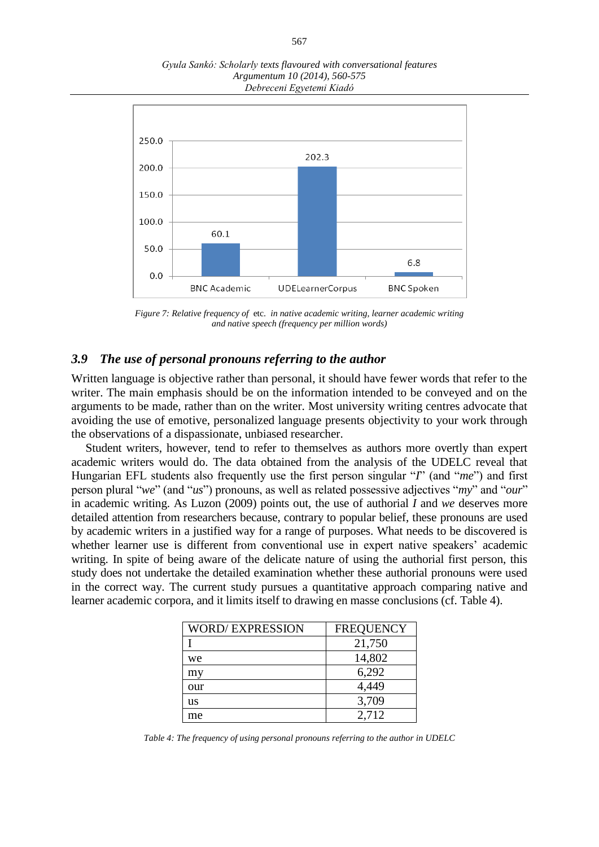*Gyula Sankó: Scholarly texts flavoured with conversational features Argumentum 10 (2014), 560-575 Debreceni Egyetemi Kiadó*



*Figure 7: Relative frequency of* etc. *in native academic writing, learner academic writing and native speech (frequency per million words)*

#### *3.9 The use of personal pronouns referring to the author*

Written language is objective rather than personal, it should have fewer words that refer to the writer. The main emphasis should be on the information intended to be conveyed and on the arguments to be made, rather than on the writer. Most university writing centres advocate that avoiding the use of emotive, personalized language presents objectivity to your work through the observations of a dispassionate, unbiased researcher.

Student writers, however, tend to refer to themselves as authors more overtly than expert academic writers would do. The data obtained from the analysis of the UDELC reveal that Hungarian EFL students also frequently use the first person singular "*I*" (and "*me*") and first person plural "*we*" (and "*us*") pronouns, as well as related possessive adjectives "*my*" and "*our*" in academic writing. As Luzon (2009) points out, the use of authorial *I* and *we* deserves more detailed attention from researchers because, contrary to popular belief, these pronouns are used by academic writers in a justified way for a range of purposes. What needs to be discovered is whether learner use is different from conventional use in expert native speakers' academic writing. In spite of being aware of the delicate nature of using the authorial first person, this study does not undertake the detailed examination whether these authorial pronouns were used in the correct way. The current study pursues a quantitative approach comparing native and learner academic corpora, and it limits itself to drawing en masse conclusions (cf. Table 4).

| <b>WORD/EXPRESSION</b> | <b>FREQUENCY</b> |
|------------------------|------------------|
|                        | 21,750           |
| we                     | 14,802           |
| my                     | 6,292            |
| our                    | 4,449            |
| us                     | 3,709            |
| me                     | 2,712            |

*Table 4: The frequency of using personal pronouns referring to the author in UDELC*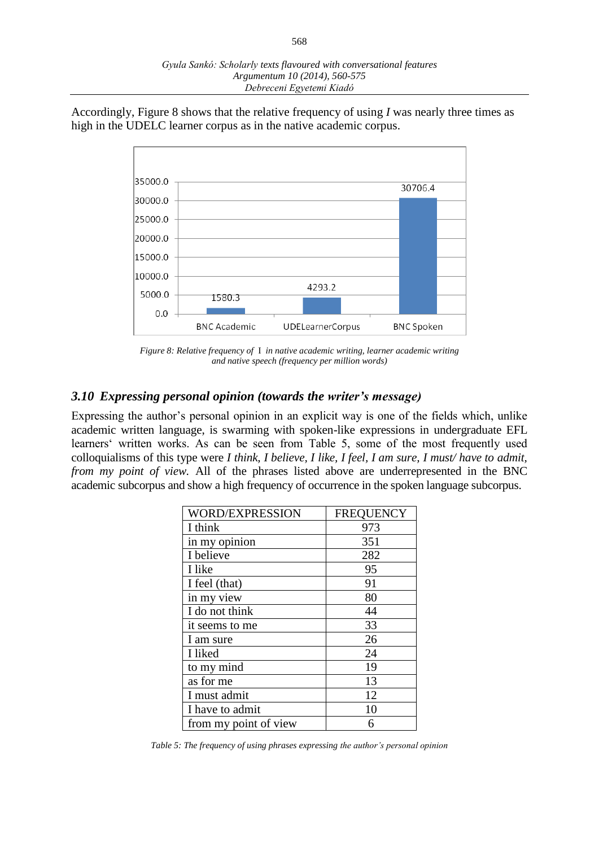Accordingly, Figure 8 shows that the relative frequency of using *I* was nearly three times as high in the UDELC learner corpus as in the native academic corpus.



*Figure 8: Relative frequency of* I *in native academic writing, learner academic writing and native speech (frequency per million words)*

#### *3.10 Expressing personal opinion (towards the writer's message)*

Expressing the author's personal opinion in an explicit way is one of the fields which, unlike academic written language, is swarming with spoken-like expressions in undergraduate EFL learners' written works. As can be seen from Table 5, some of the most frequently used colloquialisms of this type were *I think, I believe, I like, I feel, I am sure, I must/ have to admit, from my point of view.* All of the phrases listed above are underrepresented in the BNC academic subcorpus and show a high frequency of occurrence in the spoken language subcorpus.

| <b>WORD/EXPRESSION</b> | <b>FREQUENCY</b> |
|------------------------|------------------|
| I think                | 973              |
| in my opinion          | 351              |
| I believe              | 282              |
| I like                 | 95               |
| I feel (that)          | 91               |
| in my view             | 80               |
| I do not think         | 44               |
| it seems to me         | 33               |
| 1 am sure              | 26               |
| I liked                | 24               |
| to my mind             | 19               |
| as for me              | 13               |
| I must admit           | 12               |
| I have to admit        | 10               |
| from my point of view  | 6                |

*Table 5: The frequency of using phrases expressing the author's personal opinion*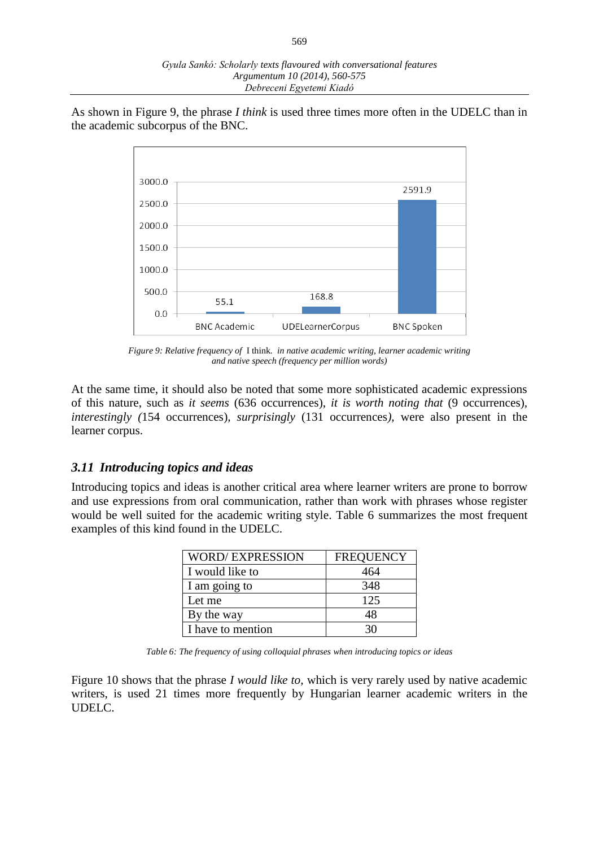As shown in Figure 9, the phrase *I think* is used three times more often in the UDELC than in the academic subcorpus of the BNC.



*Figure 9: Relative frequency of* I think*. in native academic writing, learner academic writing and native speech (frequency per million words)*

At the same time, it should also be noted that some more sophisticated academic expressions of this nature, such as *it seems* (636 occurrences), *it is worth noting that* (9 occurrences)*, interestingly (*154 occurrences)*, surprisingly* (131 occurrences*),* were also present in the learner corpus.

#### *3.11 Introducing topics and ideas*

Introducing topics and ideas is another critical area where learner writers are prone to borrow and use expressions from oral communication, rather than work with phrases whose register would be well suited for the academic writing style. Table 6 summarizes the most frequent examples of this kind found in the UDELC.

| <b>WORD/EXPRESSION</b> | <b>FREQUENCY</b> |
|------------------------|------------------|
| I would like to        | 464              |
| I am going to          | 348              |
| Let me                 | 125              |
| By the way             | 48               |
| I have to mention      | 30               |

*Table 6: The frequency of using colloquial phrases when introducing topics or ideas*

Figure 10 shows that the phrase *I would like to,* which is very rarely used by native academic writers, is used 21 times more frequently by Hungarian learner academic writers in the UDELC.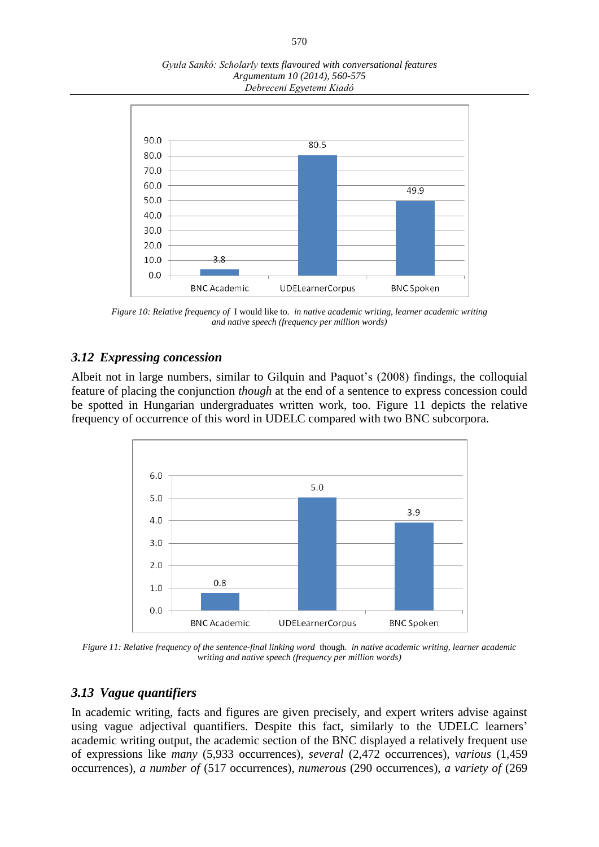*Gyula Sankó: Scholarly texts flavoured with conversational features Argumentum 10 (2014), 560-575 Debreceni Egyetemi Kiadó*



*Figure 10: Relative frequency of* I would like to. *in native academic writing, learner academic writing and native speech (frequency per million words)*

### *3.12 Expressing concession*

Albeit not in large numbers, similar to Gilquin and Paquot's (2008) findings, the colloquial feature of placing the conjunction *though* at the end of a sentence to express concession could be spotted in Hungarian undergraduates written work, too. Figure 11 depicts the relative frequency of occurrence of this word in UDELC compared with two BNC subcorpora.



*Figure 11: Relative frequency of the sentence-final linking word* though*. in native academic writing, learner academic writing and native speech (frequency per million words)*

#### *3.13 Vague quantifiers*

In academic writing, facts and figures are given precisely, and expert writers advise against using vague adjectival quantifiers. Despite this fact, similarly to the UDELC learners' academic writing output, the academic section of the BNC displayed a relatively frequent use of expressions like *many* (5,933 occurrences)*, several* (2,472 occurrences)*, various* (1,459 occurrences), *a number of* (517 occurrences), *numerous* (290 occurrences), *a variety of* (269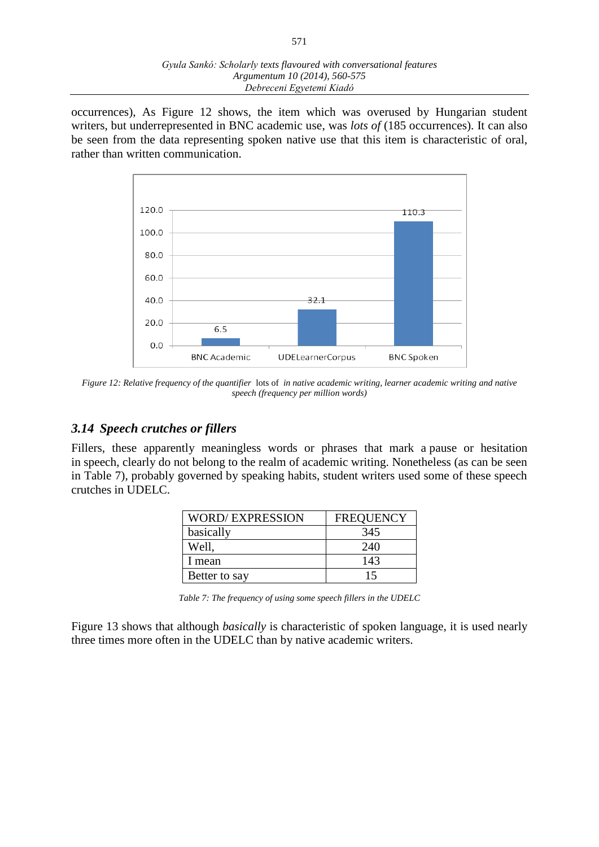occurrences), As Figure 12 shows, the item which was overused by Hungarian student writers, but underrepresented in BNC academic use, was *lots of* (185 occurrences). It can also be seen from the data representing spoken native use that this item is characteristic of oral, rather than written communication.



*Figure 12: Relative frequency of the quantifier* lots of *in native academic writing, learner academic writing and native speech (frequency per million words)*

## *3.14 Speech crutches or fillers*

Fillers, these apparently meaningless words or phrases that mark a pause or hesitation in speech, clearly do not belong to the realm of academic writing. Nonetheless (as can be seen in Table 7), probably governed by speaking habits, student writers used some of these speech crutches in UDELC.

| <b>WORD/EXPRESSION</b> | <b>FREQUENCY</b> |
|------------------------|------------------|
| basically              | 345              |
| Well,                  | 240              |
| 1 mean                 | 143              |
| Better to say          | 15               |

*Table 7: The frequency of using some speech fillers in the UDELC*

Figure 13 shows that although *basically* is characteristic of spoken language, it is used nearly three times more often in the UDELC than by native academic writers.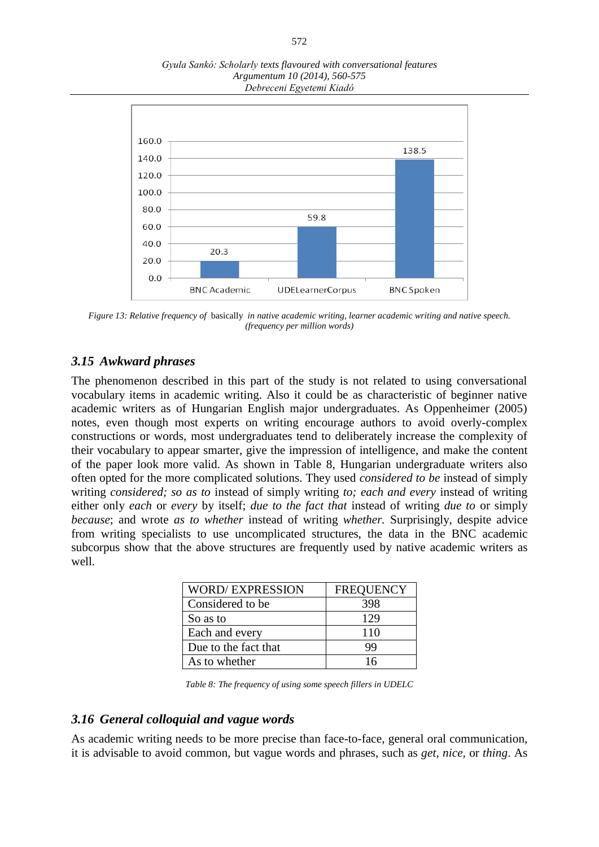

*Gyula Sankó: Scholarly texts flavoured with conversational features Argumentum 10 (2014), 560-575 Debreceni Egyetemi Kiadó*

*Figure 13: Relative frequency of* basically *in native academic writing, learner academic writing and native speech. (frequency per million words)*

## *3.15 Awkward phrases*

The phenomenon described in this part of the study is not related to using conversational vocabulary items in academic writing. Also it could be as characteristic of beginner native academic writers as of Hungarian English major undergraduates. As Oppenheimer (2005) notes, even though most experts on writing encourage authors to avoid overly-complex constructions or words*,* most undergraduates tend to deliberately increase the complexity of their vocabulary to appear smarter, give the impression of intelligence, and make the content of the paper look more valid. As shown in Table 8, Hungarian undergraduate writers also often opted for the more complicated solutions. They used *considered to be* instead of simply writing *considered; so as to* instead of simply writing *to; each and every* instead of writing either only *each* or *every* by itself; *due to the fact that* instead of writing *due to* or simply *because*; and wrote *as to whether* instead of writing *whether.* Surprisingly, despite advice from writing specialists to use uncomplicated structures, the data in the BNC academic subcorpus show that the above structures are frequently used by native academic writers as well.

| <b>WORD/EXPRESSION</b> | <b>FREQUENCY</b> |
|------------------------|------------------|
| Considered to be       | 398              |
| So as to               | 129              |
| Each and every         | 110              |
| Due to the fact that   | 99               |
| As to whether          | 16               |

*Table 8: The frequency of using some speech fillers in UDELC*

#### *3.16 General colloquial and vague words*

As academic writing needs to be more precise than face-to-face, general oral communication, it is advisable to avoid common, but vague words and phrases, such as *get, nice,* or *thing*. As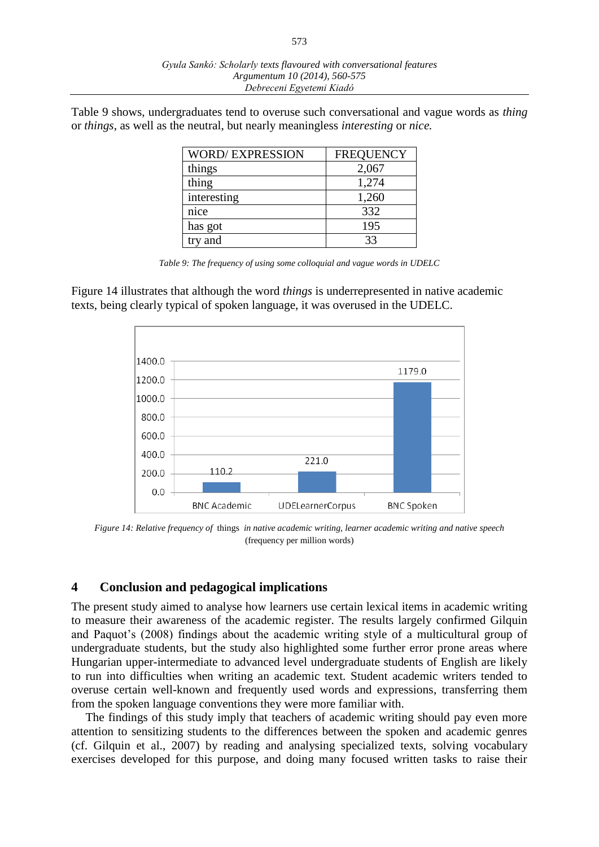Table 9 shows, undergraduates tend to overuse such conversational and vague words as *thing* or *things*, as well as the neutral, but nearly meaningless *interesting* or *nice.* 

| <b>WORD/EXPRESSION</b> | <b>FREQUENCY</b> |
|------------------------|------------------|
| things                 | 2,067            |
| thing                  | 1,274            |
| interesting            | 1,260            |
| nice                   | 332              |
| has got                | 195              |
| try and                | 33               |

*Table 9: The frequency of using some colloquial and vague words in UDELC*

Figure 14 illustrates that although the word *things* is underrepresented in native academic texts, being clearly typical of spoken language, it was overused in the UDELC.



*Figure 14: Relative frequency of* things *in native academic writing, learner academic writing and native speech*  (frequency per million words)

#### **4 Conclusion and pedagogical implications**

The present study aimed to analyse how learners use certain lexical items in academic writing to measure their awareness of the academic register. The results largely confirmed Gilquin and Paquot's (2008) findings about the academic writing style of a multicultural group of undergraduate students, but the study also highlighted some further error prone areas where Hungarian upper-intermediate to advanced level undergraduate students of English are likely to run into difficulties when writing an academic text. Student academic writers tended to overuse certain well-known and frequently used words and expressions, transferring them from the spoken language conventions they were more familiar with.

The findings of this study imply that teachers of academic writing should pay even more attention to sensitizing students to the differences between the spoken and academic genres (cf. Gilquin et al., 2007) by reading and analysing specialized texts, solving vocabulary exercises developed for this purpose, and doing many focused written tasks to raise their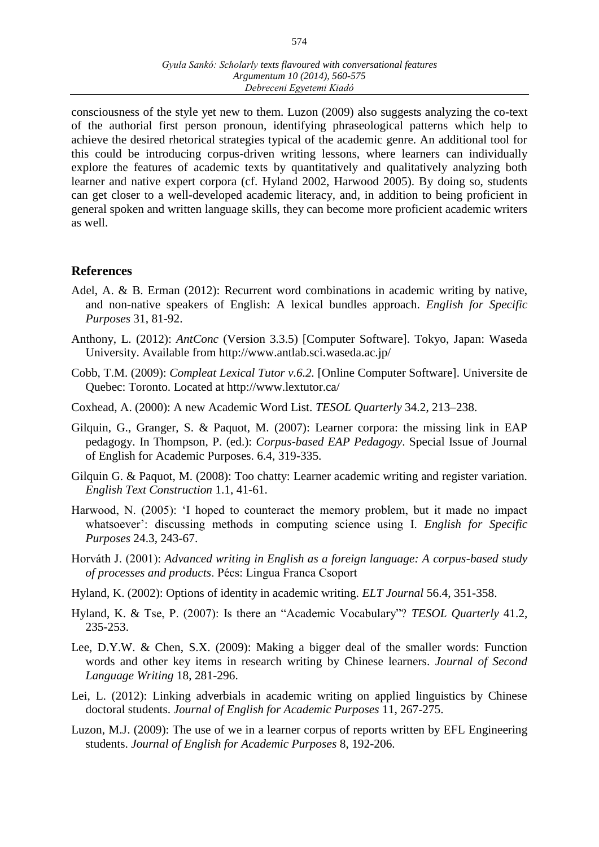consciousness of the style yet new to them. Luzon (2009) also suggests analyzing the co-text of the authorial first person pronoun, identifying phraseological patterns which help to achieve the desired rhetorical strategies typical of the academic genre. An additional tool for this could be introducing corpus-driven writing lessons, where learners can individually explore the features of academic texts by quantitatively and qualitatively analyzing both learner and native expert corpora (cf. Hyland 2002, Harwood 2005). By doing so, students can get closer to a well-developed academic literacy, and, in addition to being proficient in general spoken and written language skills, they can become more proficient academic writers as well.

#### **References**

- Adel, A. & B. Erman (2012): Recurrent word combinations in academic writing by native, and non-native speakers of English: A lexical bundles approach. *English for Specific Purposes* 31, 81-92.
- Anthony, L. (2012): *AntConc* (Version 3.3.5) [Computer Software]. Tokyo, Japan: Waseda University. Available from http://www.antlab.sci.waseda.ac.jp/
- Cobb, T.M. (2009): *Compleat Lexical Tutor v.6.2.* [Online Computer Software]. Universite de Quebec: Toronto. Located at http://www.lextutor.ca/
- Coxhead, A. (2000): A new Academic Word List. *TESOL Quarterly* 34.2, 213–238.
- Gilquin, G., Granger, S. & Paquot, M. (2007): Learner corpora: the missing link in EAP pedagogy. In Thompson, P. (ed.): *Corpus-based EAP Pedagogy*. Special Issue of Journal of English for Academic Purposes. 6.4, 319-335.
- Gilquin G. & Paquot, M. (2008): Too chatty: Learner academic writing and register variation. *English Text Construction* 1.1, 41-61.
- Harwood, N. (2005): 'I hoped to counteract the memory problem, but it made no impact whatsoever': discussing methods in computing science using I. *English for Specific Purposes* 24.3, 243-67.
- Horváth J. (2001): *Advanced writing in English as a foreign language: A corpus-based study of processes and products*. Pécs: Lingua Franca Csoport
- Hyland, K. (2002): Options of identity in academic writing. *ELT Journal* 56.4, 351-358.
- Hyland, K. & Tse, P. (2007): Is there an "Academic Vocabulary"? *TESOL Quarterly* 41.2, 235-253.
- Lee, D.Y.W. & Chen, S.X. (2009): Making a bigger deal of the smaller words: Function words and other key items in research writing by Chinese learners. *Journal of Second Language Writing* 18, 281-296.
- Lei, L. (2012): Linking adverbials in academic writing on applied linguistics by Chinese doctoral students. *Journal of English for Academic Purposes* 11, 267-275.
- Luzon, M.J. (2009): The use of we in a learner corpus of reports written by EFL Engineering students. *Journal of English for Academic Purposes* 8, 192-206.